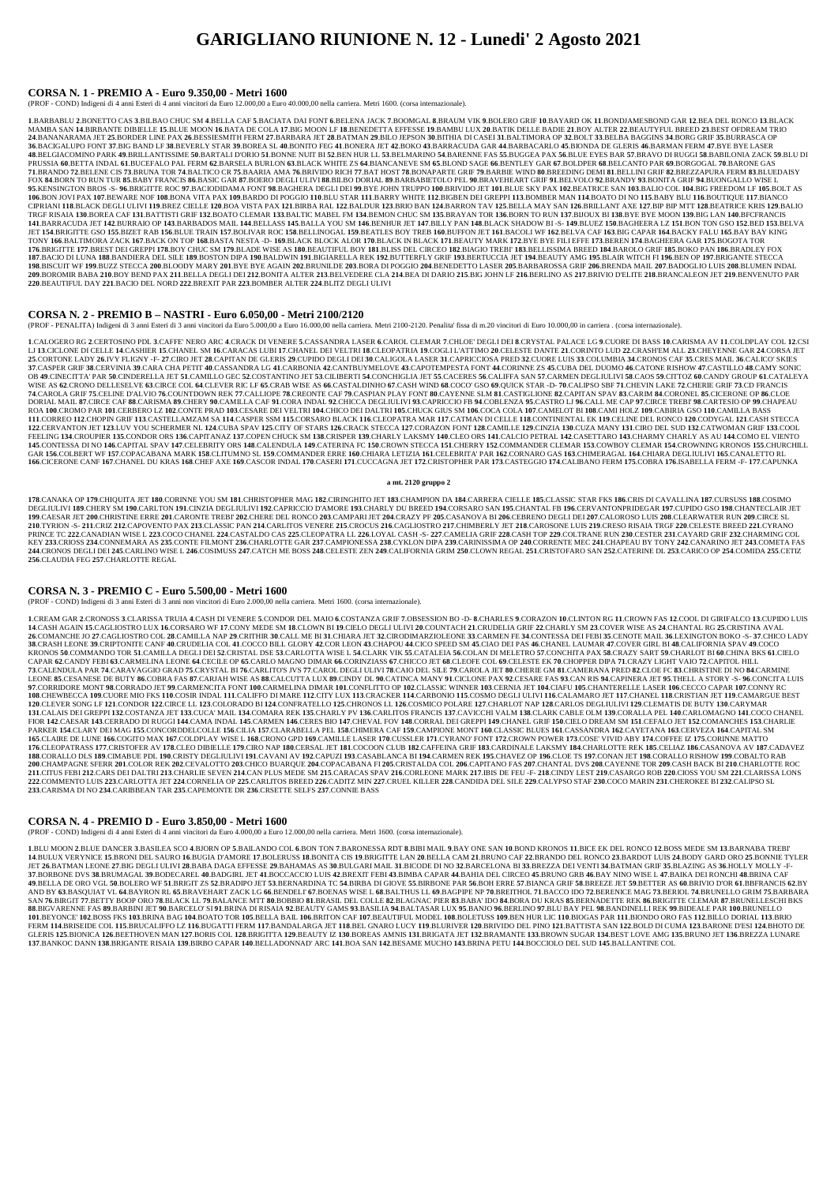# **GARIGLIANO RIUNIONE N. 12 - Lunedi' 2 Agosto 2021**

#### **CORSA N. 1 - PREMIO A - Euro 9.350,00 - Metri 1600**

(PROF - COND) Indigeni di 4 anni Esteri di 4 anni vincitori da Euro 12.000,00 a Euro 40.000,00 nella carriera. Metri 1600. (corsa internazionale).

1.BARBABLU 2.BONETTO CAS 3.BILBAO CHUC SM 4.BELLA CAF 5.BACIATA DAI FONT 6.BELENA JACK 7.BOOMGAL 8.BRAUM VIK 9.BOLERO GRIF 10.BAYARD OK 11.BONDJAMESBOND GAR 12.BEA DEL RONCO 13.BLACK MAMBA SAN 14.BIRBANTE DIBIELLE 15.BLUE MOON 16.BATA DE COLA 17.BIG MOON LF 18.BENEDETTA EFFESSE 19.BAMBU LUX 20.BATIK DELLE BADIE 21.BOY ALTER 22.BEAUTYFUL BREED 23.BEST OFDREAM TRIO 24.BANANARAMA JET 25.BORDER LINE PAX 26.BESSIESMITH FERM 27.BARBARA JET 28.BATMAN 29.BILO JEPSON 30.BITHIA DI CASEI 31.BALTIMORA OP 32.BOLT 33.BELBA BAGGINS 34.BORG GRIF 35.BURRASCA OP 36.BACIGALUPO FONT 37.BIG BAND LF 38.BEVERLY STAR 39.BOREA SL 40.BONITO FEG 41.BONERA JET 42.BOKO 43.BARRACUDA GAR 44.BARBACARLO 45.BIONDA DE GLERIS 46.BARMAN FERM 47.BYE BYE LASER 48.BELGIACOMINO PARK 49.BRILLANTISSIME 50.BARTALI D'ORIO 51.BONNE NUIT BI 52.BEN HUR LL 53.BELMARINO 54.BARENNE FAS 55.BUGGEA PAX 56.BLUE EYES BAR 57.BRAVO DI RUGGI 58.BABILONIA ZACK 59.BLU DI PRUSSIA 60.BETTA INDAL 61.BUCEFALO PAL FERM 62.BARSELA BURLON 63.BLACK WHITE ZS 64.BIANCANEVE SM 65.BLOND SAGE 66.BENTLEY GAR 67.BOLDPER 68.BELCANTO PAR 69.BORGOGAL 70.BARONE GAS 71.BRANDO 72.BELENE CIS 73.BRUNA TOR 74.BALTICO CR 75.BAARIA AMA 76.BRIVIDO RICH 77.BAT HOST 78.BONAPARTE GRIF 79.BARBIE WIND 80.BREEDING DEMI 81.BELLINI GRIF 82.BREZZAPURA FERM 83.BLUEDAISY FOX 84.BORN TO RUN TUR 85.BABY FRANCIS 86.BASIC GAR 87.BOERO DEGLI ULIVI 88.BILBO DORIAL 89.BARBABIETOLO PEL 90.BRAVEHEART GRIF 91.BELVOLO 92.BRANDY 93.BONITA GRIF 94.BUONGALLO WISE L 95.KENSINGTON BROS -S- 96.BRIGITTE ROC 97.BACIODIDAMA FONT 98.BAGHERA DEGLI DEI 99.BYE JOHN TRUPPO 100.BRIVIDO JET 101.BLUE SKY PAX 102.BEATRICE SAN 103.BALIO COL 104.BIG FREEDOM LF 105.BOLT AS 106.BON JOVIPAX 107.BEWARE NOF 108.BONA VITA PAX 109.BARDO DI POGGIO 110.BLU STAR 111.BARRY WHITE 112.BIGBEN DEI GREPPI 113.BOMBER MAN 114.BOATO DI NO 115.BABY BLU 116.BOUTIQUE 117.BIANCO CIPRIANI 118.BLACK DEGLI ULIVI 119.BREZ CIELLE 120.BOA VISTA PAX 121.BIRBA RAL 122.BALDUR 123.BRIO BAN 124.BARRON TAV 125.BELLA MAY SAN 126.BRILLANT AXE 127.BIP BIP MTT 128.BEATRICE KRIS 129.BALIO TRGF RISAIA 130.BOREA CAF 131.BATTISTI GRIF 132.BOATO CLEMAR 133.BALTIC MABEL FM 134.BEMON CHUC SM 135.BRAYAN TOR 136.BORN TO RUN 137.BIJOUX BI 138.BYE BYE MOON 139.BIG LAN 140.BFCFRANCIS 141.BARRACUDA JET 142.BURRAIO OP 143.BARBADOS MAIL 144.BELLASS 145.BALLA YOU SM 146.BENHUR JET 147.BILLY PAN 148.BLACK SHADOW BI -S-149.BLUEZ 150.BAGHEERA LZ 151.BON TON GSO 152.BED 153.BELVA JET 154.BRIGITTE GSO 155.BIZET RAB 156.BLUE TRAIN 157.BOLIVAR ROC 158.BELLINOGAL 159.BEATLES BOY TREB 160.BUFFON JET 161.BACOLI WF 162.BELVA CAF 163.BIG CAPAR 164.BACKY FALU 165.BAY BAY KING TONY 166.BALTIMORA ZACK 167.BACK ON TOP 168.BASTA NESTA -D- 169.BLACK BLOCK ALOR 170.BLACK IN BLACK 171.BEAUTY MARK 172.BYE BYE FILI EFFE 173.BEREN 174.BAGHEERA GAR 175.BOGOTA TOR 176.BRIGITTE 177.BREST DEI GREPPI 178.BOY CHUC SM 179.BLADE WISE AS 180.BEAUTIFUL BOY 181.BLISS DEL CIRCEO 182.BIAGIO TREBI' 183.BELLISSIMA BREED 184.BAROLO GRIF 185.BOKO PAN 186.BRADLEY FOX 187.BACIO DI LUNA 188.BANDIERA DEL SILE 189.BOSTON DIPA 190.BALDWIN 191.BIGIARELLA REK 192.BUTTERFLY GRIF 193.BERTUCCIA JET 194.BEAUTY AMG 195.BLAIR WITCH FI 196.BEN OP 197.BRIGANTE STECCA 198.BISCUIT WF 199.BUZZ STECCA 200.BLOODY MARY 201.BYE BYE AGAIN 202.BRUNILDE 203.BORA DI POGGIO 204.BENEDETTO LASER 205.BARBAROSSA GRIF 206.BRENDA MAIL 207.BADOGLIO LUIS 208.BLUMEN INDAL 209.BOROMIR BABA 210.BOY BEND PAX 211.BELLA DEGLI DEI 212.BONITA ALTER 213.BELVEDERE CLA 214.BEA DI DARIO 215.BIG JOHN LF 216.BERLINO AS 217.BRIVIO D'ELITE 218.BRANCALEON JET 219.BENVENUTO PAR **220**.BEAUTIFUL DAY **221**.BACIO DEL NORD **222**.BREXIT PAR **223**.BOMBER ALTER **224**.BLITZ DEGLI ULIVI

#### **CORSA N. 2 - PREMIO B – NASTRI - Euro 6.050,00 - Metri 2100/2120**

(PROF - PENALITA) Indigeni di 3 anni Esteri di 3 anni vincitori da Euro 5.000,00 a Euro 16.000,00 nella carriera. Metri 2100-2120. Penalita' fissa di m.20 vincitori di Euro 10.000,00 in carriera . (corsa internazionale).

1.CALOGERO RG 2.CERTOSINO PDL 3.CAFFE' NERO ARC 4.CRACK DI VENERE 5.CASSANDRA LASER 6.CAROL CLEMAR 7.CHLOE' DEGLI DEI 8.CRYSTAL PALACE LG 9.CUORE DI BASS 10.CARISMA AV 11.COLDPLAY COL 12.CSI LJ 13.CICLONE DI CELLE 14.CASHIER 15.CHANEL SM 16.CARACAS LUBI 17.CHANEL DEI VELTRI 18.CLEOPATRIA 19.COGLI L'ATTIMO 20.CELESTE DANTE 21.CORINTO LUD 22.CRASH'EM ALL 23.CHEYENNE GAR 24.CORSA JET 25.CORTONE LADY 26.IVY FLIGNY -F- 27.CIRO JET 28.CAPITAN DE GLERIS 29.CUPIDO DEGLI DEI 30.CALIGOLA LASER 31.CAPRICCIOSA PRED 32.CUORE LUIS 33.COLUMBIA 34.CRONOS CAF 35.CRES MAIL 36.CALICO' SKIES 37.CASPER GRIF 38.CERVINIA 39.CARA CHA PETIT 40.CASSANDRA LG 41.CARBONIA 42.CANTBUYMELOVE 43.CAPOTEMPESTA FONT 44.CORINNE ZS 45.CUBA DEL DUOMO 46.CATONE RISHOW 47.CASTILLO 48.CAMY SONIC OB 49.CINECITTA' PAR 50.CINDERELLA JET 51.CAMILLO GEC 52.COSTANTINO JET 53.CILIBERTI 54.CONCHIGLIA JET 55.CACERES 56.CALIFFA SAN 57.CARMEN DEGLIULIVI 58.CAOS 59.CITTOZ 60.CANDY GROUP 61.CATALEYA WISE AS 62.CRONO DELLESELVE 63.CIRCE COL 64.CLEVER RIC LF 65.CRAB WISE AS 66.CASTALDINHO 67.CASH WIND 68.COCO' GSO 69.QUICK STAR -D- 70.CALIPSO SBF 71.CHEVIN LAKE 72.CHERIE GRIF 73.CD FRANCIS 74.CAROLA GRIF 75.CELINE D'ALVIO 76.COUNTDOWN REK 77.CALLIOPE 78.CREONTE CAF 79.CASPIAN PLAY FONT 80.CAYENNE SLM 81.CASTIGLIONE 82.CAPITAN SPAV 83.CARIM 84.CORONEL 85.CICERONE OP 86.CLOE DORIAL MAIL 87.CIRCE CAF 88.CARISMA 89.CHERY 90.CAMILLA CAF 91.CORA INDAL 92.CHICCA DEGLIULIVI 93.CAPRICCIO FB 94.COBLENZA 95.CASTRO LJ 96.CALL ME CAP 97.CIRCE TREBI 98.CARTESIO OP 99.CHAPEAU ROA 100.CROMO PAR 101.CERBERO LZ 102.CONTE PRAD 103.CESARE DEI VELTRI 104.CHICO DEI DALTRI 105.CHUCK GIUS SM 106.COCA COLA 107.CAMELOT BI 108.CAMI HOLZ 109.CABIRIA GSO 110.CAMILLA BASS 111.CORREO 112.CHOPIN GRIF 113.CASTELLAMZAM SA 114.CASPER SSM 115.CORSARO BLACK 116.CLEOPATRA MAR 117.CATMAN DI CELLE 118.CONTINENTAL EK 119.CELINE DEL RONCO 120.CODYGAL 121.CASH STECCA 122.CERVANTON JET 123.LUV YOU SCHERMER NL 124.CUBA SPAV 125.CITY OF STARS 126.CRACK STECCA 127.CORAZON FONT 128.CAMILLE 129.CINZIA 130.CUZA MANY 131.CIRO DEL SUD 132.CATWOMAN GRIF 133.COOL FEELING 134.CROUPIER 135.CONDOR ORS 136.CAPITANAZ 137.COPEN CHUCK SM 138.CRISPER 139.CHARLY LAKSMY 140.CLEO ORS 141.CALCIO PETRAL 142.CASETTARO 143.CHARMY CHARLY AS AU 144.COMO EL VIENTO 145.CONTESSA DI NO 146.CAPITAL SPAV 147.CELEBRITY ORS 148.CALENDULA 149.CATERINA FC 150.CROWN STECCA 151.CHERRY 152.COMMANDER CLEMAR 153.COWBOY CLEMAR 154.CROWNING KRONOS 155.CHURCHILL GAR 156.COLBERT WF 157.COPACABANA MARK 158.CLITUMNO SL 159.COMMANDER ERRE 160.CHIARA LETIZIA 161.CELEBRITA' PAR 162.CORNARO GAS 163.CHIMERAGAL 164.CHIARA DEGLIULIVI 165.CANALETTO RL 166.CICERONE CANF 167.CHANEL DU KRAS 168.CHEF AXE 169.CASCOR INDAL 170.CASERI 171.CUCCAGNA JET 172.CRISTOPHER PAR 173.CASTEGGIO 174.CALIBANO FERM 175.COBRA 176.ISABELLA FERM -F-177.CAPUNKA

178.CANAKA OP 179.CHIQUITA JET 180.CORINNE YOU SM 181.CHRISTOPHER MAG 182.CIRINGHITO JET 183.CHAMPION DA 184.CARRERA CIELLE 185.CLASSIC STAR FKS 186.CRIS DI CAVALLINA 187.CURSUSS 188.COSIMO DEGLIULIVI 189.CHERY SM 190.CARLTON 191.CINZIA DEGLIULIVI 192.CAPRICCIO D'AMORE 193.CHARLY DU BREED 194.CORSARO SAN 195.CHANTAL FB 196.CERVANTONPRIDEGAR 197.CUPIDO GSO 198.CHANTECLAIR JET 199.CAESAR JET 200.CHRISTINE ERRE 201.CARONTE TREBI' 202.CHERE DEL RONCO 203.CAMPARI JET 204.CRAZY PF 205.CASANOVA BI 206.CEBRENO DEGLI DEI 207.CALOROSO LUIS 208.CLEARWATER RUN 209.CIRCE SL 210.TYRION -S- 211.CRIZ 212.CAPOVENTO PAX 213.CLASSIC PAN 214.CARLITOS VENERE 215.CROCUS 216.CAGLIOSTRO 217.CHIMBERLY JET 218.CAROSONE LUIS 219.CRESO RISAIA TRGF 220.CELESTE BREED 221.CYRANO PRINCE TC 222.CANADIAN WISE L 223.COCO CHANEL 224.CASTALDO CAS 225.CLEOPATRA LL 226.LOYAL CASH -S- 227.CAMELIA GRIF 228.CASH TOP 229.COLTRANE RUN 230.CESTER 231.CAYARD GRIF 232.CHARMING COL KEY 233.CRIOSS 234.CONNEMARA AS 235.CONTE FILMONT 236.CHARLOTTE GAR 237.CAMPIONESSA 238.CYKLON DIPA 239.CARINISSIMA OP 240.CORRENTE MEC 241.CHAPEAU BY TONY 242.CANARINO JET 243.COMETA FAS 244.CRONOS DEGLI DEI 245.CARLINO WISE L 246.COSIMUSS 247.CATCH ME BOSS 248.CELESTE ZEN 249.CALIFORNIA GRIM 250.CLOWN REGAL 251.CRISTOFARO SAN 252.CATERINE DL 253.CARICO OP 254.COMIDA 255.CETIZ **256**.CLAUDIA FEG **257**.CHARLOTTE REGAL

1. CREAM GAR 2. CRONOSS 3.CLARISSA TRUIA 4.CASH DI VENERE 5.CONDOR DEL MAIO 6.COSTANZA GRIF 7.OBSESSION BO -D-8. CHARLES 9.CORAZON 10.CLINTON RG 11. CROWN FAS 12.COOL DI GIRIFALCO 13.CUPIDO LUIS 14. CASH AGAIN 15. CAGLIOSTRO LUX 16. CORSARO WF 17. CONY MEDE SM 18. CLOWN BI 19. CIELO DEGLI ULIVI 20. COUNTACH 21. CRUDELIA GRIF 22. CHARLY SM 23. COVER WISE AS 24. CHANTAL RG 25. CRISTINA AVAL 26. COMANCHE JO 27. CAGLIOSTRO COL 28. CAMILLA NAP 29. CRITHIR 30. CALL ME BI 31. CHIARA JET 32. CIRODIMARZIOLEONE 33. CARMEN FE 34. CONTESSA DEI FEBI 35. CENOTE MAIL 36. LEXINGTON BOKO -S- 37. CHICO LADY 38.CRASH LEONE 39.CRIPTONITE CANF 40.CRUDELIA COL 41.COCCO BILL GLORY 42.COR LEON 43.CHAPOU 44.CICO SPEED SM 45.CIAO DEI PAS 46.CHANEL LAUMAR 47.COVER GIRL BI 48.CALIFORNIA SPAV 49.COCO KRONOS 50.COMMANDO TOR 51.CAMILLA DEGLI DEI 52.CRISTAL DSE 53.CARLOTTA WISE L 54.CLARK VIK 55.CATALEIA 56.COLAN DI MELETRO 57.CONCHITA PAX 58.CRAZY SART 59.CHARLOT BI 60.CHINA BKS 61.CIELO CAPAR 62.CANDY FEBI 63.CARMELINA LEONE 64.CECILE OP 65.CARLO MAGNO DIMAR 66.CORINZIASS 67.CHICCO JET 68.CLEOFE COL 69.CELESTE EK 70.CHOPPER DIPA 71.CRAZY LIGHT VAIO 72.CAPITOL HILL 73.CALENDULA PAR 74.CARAVAGGIO GRAD 75.CRYSTAL BI 76.CARLITO'S JVS 77.CAROL DEGLI ULIVI 78.CAIO DEL SILE 79.CAROLA JET 80.CHERIE GM 81.CAMERANA PRED 82.CLOE FC 83.CHRISTINE DI NO 84.CARMINE LEONE 85.CESANESE DE BUTY 86.COBRA FAS 87.CARJAH WISE AS 88.CALCUTTA LUX 89.CINDY DL 90.CATINCA MANY 91.CICLONE PAX 92.CESARE FAS 93.CAN RIS 94.CAPINERA JET 95.THELL A STORY -S- 96.CONCITA LUIS 97.CORRIDORE MONT 98.CORRADO JET 99.CARMENCITA FONT 100.CARMELINA DIMAR 101.CONFLITTO OP 102.CLASSIC WINNER 103.CERNIA JET 104.CIAFU 105.CHANTERELLE LASER 106.CECCO CAPAR 107.CONNY RC 108.CHEWBECCA 109.CUORE MIO FKS 110.COSIR INDAL 111.CALIFFO DI MARE 112.CITY LUX 113.CRACKER 114.CARBONIO 115.COSMO DEGLI ULIVI 116.CALAMARO JET 117.CHANEL 118.CRISTIAN JET 119.CAMARGUE BEST 120.CLEVER SONG LF 121.CONDOR 122.CIRCE LL 123.COLORADO BI 124.CONFRATELLO 125.CHRONOS LL 126.COSMICO POLARE 127.CHARLOT NAP 128.CARLOS DEGLIULIVI 129.CLEMATIS DE BUTY 130.CARYMAR 131. CALAIS DEI GREPPI 132. COSTANZA JET 133. CUCA' MAIL 134. COMARA REK 135. CHARLY PV 136. CARLITOS FRANCIS 137. CAVICCHI VALM 138. CLARK CABLE OLM 139. CORALLA PEL 140. CARLOMAGNO 141. COCO CHANEL FIOR 142.CAESAR 143.CERRADO DI RUGGI 144.CAMA INDAL 145.CARMEN 146.CERES BIO 147.CHEVAL FOV 148.CORRAL DEI GREPPI 149.CHANEL GRIF 150.CIELO DREAM SM 151.CEFALO JET 152.COMANCHES 153.CHARLIE PARKER 154.CLARY DEI MAG 155.CONCORDDELCOLLE 156.CILIA 157.CLARABELLA PEL 158.CHIMERA CAF 159.CAMPIONE MONT 160.CLASSIC BLUES 161.CASSANDRA 162.CAYETANA 163.CERVEZA 164.CAPITAL SM 165.CLAIRE DE LUNE 166.COGITO MAX 167.COLDPLAY WISE L 168.CRONO GPD 169.CAMILLE LASER 170.CUSSLER 171.CYRANO' FONT 172.CROWN POWER 173.COSE' VIVID ABY 174.COFFEE IZ 175.CORINNE MATTO 176.CLEOPATRASS 177.CRISTOFER AV 178.CLEO DIBIELLE 179.CIRO NAP 180.CERSAL JET 181.COCOON CLUB 182.CAFFEINA GRIF 183.CARDINALE LAKSMY 184.CHARLOTTE REK 185.CELIAZ 186.CASANOVA AV 187.CADAVEZ 188.CORALLO DLS 189.CIMABUE PDL 190.CRISTY DEGLIULIVI 191.CAVANI AV 192.CAPUZI 193.CASABLANCA BI 194.CARMEN REK 195.CHAVEZ OP 196.CLOE TS 197.CONAN JET 198.CORALLO RISHOW 199.COBALTO RAB 200.CHAMPAGNE SFERR 201.COLOR REK 202.CEVALOTTO 203.CHICO BUARQUE 204.COPACABANA FI 205.CRISTALDA COL 206.CAPITANO FAS 207.CHANTAL DVS 208.CAYENNE TOR 209.CASH BACK BI 210.CHARLOTTE ROC 211.CITUS FEBI 212.CARS DEI DALTRI 213.CHARLIE SEVEN 214.CAN PLUS MEDE SM 215.CARACAS SPAV 216.CORLEONE MARK 217.IBIS DE FEU -F- 218.CINDY LEST 219.CASARGO ROB 220.CIOSS YOU SM 221.CLARISSA LONS 222.COMMENTO LUIS 223.CARLOTTA JET 224.CORNELIA OP 225.CARLITOS BREED 226.CADITZ MIN 227.CRUEL KILLER 228.CANDIDA DEL SILE 229.CALYPSO STAF 230.COCO MARIN 231.CHEROKEE B1 232.CALIPSO SL **233**.CARISMA DI NO **234**.CARIBBEAN TAR **235**.CAPEMONTE DR **236**.CRSETTE SELFS **237**.CONNIE BASS

#### **a mt. 2120 gruppo 2**

1.BLU MOON 2.BLUE DANCER 3.BASILEA SCO 4.BJORN OP 5.BAILANDO COL 6.BON TON 7.BARONESSA RDT 8.BIBI MAIL 9.BAY ONE SAN 10.BOND KRONOS 11.BICE EK DEL RONCO 12.BOSS MEDE SM 13.BARNABA TREBI' 14.BULUX VERYNICE 15.BRONI DEL SAURO 16.BUGIA D'AMORE 17.BOLERUSS 18.BONITA CIS 19.BRIGITTE LAN 20.BELLA CAM 21.BRUNO CAF 22.BRANDO DEL RONCO 23.BARDOT LUIS 24.BODY GARD ORO 25.BONNIE TYLER THE 26.BATMAN LEONE 27.BIG DEGLI ULIVI 28.BABA DAGA EFFESSE 29.BAHAMAS AS 30.BULGARI MAIL 31.BICODE DI NO 32.BARCELONA BI 33.BREZZA DEI VENTI 34.BATMAN GRIF 35.BLAZING AS 36.HOLLY MOLLY -F-37.BORBONE DVS 38.BRUMAGAL 39.BODECAREL 40.BADGIRL JET 41.BOCCACCIO LUIS 42.BREXIT FEBI 43.BIMBA CAPAR 44.BAHIA DEL CIRCEO 45.BRUNO GRB 46.BAY NINO WISE L 47.BAIKA DEI RONCHI 48.BRINA CAP 49 BELLA DE ORO VGL 50.BOLERO WE 51.BRIGHT ZS 52.BRADIPO JET 53.BERNARDINA TC 54.BIRBA DI GIOVE 55.BIRBONE PAR 56.BOH ERRE 57.BIANCA GRIF 58.BREEZE JET 59.BETTER AS 60.BRIVIO D'OR 61.BBFRANCIS 62.BY AND BY 63.BASOUIAT VL 64.BAYRON RL 65.BRAVEHART ZACK LG 66.BENDELI' 67.BOENAS WISE L 68.BALTHUS LL 69.BAGPIPE NP 70.BREITHOL 71.BACCO IDO 72.BERENICE MAG 73.BERIOL 74.BRUNELLO GRIM 75.BARBARA SAN 76.BIRGIT 77.BETTY BOOP ORO 78.BLACK LL 79.BALANCE MTT 80.BOBBIO 81.BRASIL DEL COLLE 82.BLAGNAC PIER 83.BABA' IDO 84.BORA DU KRAS 85.BERNADETTE REK 86.BRIGITTE CLEMAR 87.BRUNELLESCHI BKS 88.BIGVARENNE FAS 89.BARBINI JET 90.BARCELO'SI 91.BRINA DI RISAIA 92.BEAUTY GAMS 93.BASILIA 94.BALTASAR LUX 95.BANJO 96.BERLINO 97.BLU BAY PEL 98.BANDINELLI REK 99.BIDEALE PAR 100.BRUNELLO 101.BEYONCE' 102.BOSS FKS 103.BRINA BAG 104.BOATO TOR 105.BELLA BAIL 106.BRITON CAF 107.BEAUTIFUL MODEL 108.BOLETUSS 109.BEN HUR LIC 110.BIOGAS PAR 111.BIONDO ORO FAS 112.BILLO DORIAL 113.BRIO FERM 114.BRISEIDE COL 115.BRUCALIFFO LZ 116.BUGATTI FERM 117.BANDALARGA JET 118.BEL GNARO LUCY 119.BLURIVER 120.BRIVIDO DEL PINO 121.BATTISTA SAN 122.BOLD DI CUMA 123.BARONE D'ESI 124.BHOTO DE GLERIS 125 BIONICA 126 BEETHOVEN MAN 127 BORIS COL 128 BRIGITTA 129 BEAUTY IZ 130 BOREAS AMNIS 131 BRIGATA JET 132 BRAMANTE 133 BROWN SUGAR 134 BEST LOVE AMG 135 BRUNO JET 136 BREZZA LUNARE **137**.BANKOC DANN **138**.BRIGANTE RISAIA **139**.BIRBO CAPAR **140**.BELLADONNAD' ARC **141**.BOA SAN **142**.BESAME MUCHO **143**.BRINA PETU **144**.BOCCIOLO DEL SUD **145**.BALLANTINE COL

### **CORSA N. 3 - PREMIO C - Euro 5.500,00 - Metri 1600**

(PROF - COND) Indigeni di 3 anni Esteri di 3 anni non vincitori di Euro 2.000,00 nella carriera. Metri 1600. (corsa internazionale).

### **CORSA N. 4 - PREMIO D - Euro 3.850,00 - Metri 1600**

(PROF - COND) Indigeni di 4 anni Esteri di 4 anni vincitori da Euro 4.000,00 a Euro 12.000,00 nella carriera. Metri 1600. (corsa internazionale).